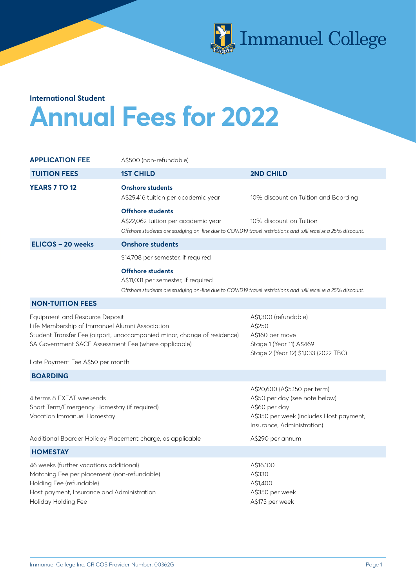

# **Annual Fees for 2022 International Student**

| <b>APPLICATION FEE</b>                                                                                                                                                                                                                                   | A\$500 (non-refundable)                                                                                                                                                       |                                                                                                                                                           |
|----------------------------------------------------------------------------------------------------------------------------------------------------------------------------------------------------------------------------------------------------------|-------------------------------------------------------------------------------------------------------------------------------------------------------------------------------|-----------------------------------------------------------------------------------------------------------------------------------------------------------|
| <b>TUITION FEES</b>                                                                                                                                                                                                                                      | <b>1ST CHILD</b>                                                                                                                                                              | <b>2ND CHILD</b>                                                                                                                                          |
| <b>YEARS 7 TO 12</b>                                                                                                                                                                                                                                     | <b>Onshore students</b><br>A\$29,416 tuition per academic year                                                                                                                | 10% discount on Tuition and Boarding                                                                                                                      |
|                                                                                                                                                                                                                                                          | <b>Offshore students</b><br>A\$22,062 tuition per academic year<br>Offshore students are studying on-line due to COVID19 travel restrictions and will receive a 25% discount. | 10% discount on Tuition                                                                                                                                   |
| ELICOS - 20 weeks                                                                                                                                                                                                                                        | <b>Onshore students</b>                                                                                                                                                       |                                                                                                                                                           |
|                                                                                                                                                                                                                                                          | \$14,708 per semester, if required                                                                                                                                            |                                                                                                                                                           |
|                                                                                                                                                                                                                                                          | <b>Offshore students</b><br>A\$11,031 per semester, if required<br>Offshore students are studying on-line due to COVID19 travel restrictions and will receive a 25% discount. |                                                                                                                                                           |
| <b>NON-TUITION FEES</b>                                                                                                                                                                                                                                  |                                                                                                                                                                               |                                                                                                                                                           |
| Equipment and Resource Deposit<br>Life Membership of Immanuel Alumni Association<br>Student Transfer Fee (airport, unaccompanied minor, change of residence)<br>SA Government SACE Assessment Fee (where applicable)<br>Late Payment Fee A\$50 per month |                                                                                                                                                                               | A\$1,300 (refundable)<br>A\$250<br>A\$160 per move<br>Stage 1 (Year 11) A\$469<br>Stage 2 (Year 12) \$1,033 (2022 TBC)                                    |
| <b>BOARDING</b>                                                                                                                                                                                                                                          |                                                                                                                                                                               |                                                                                                                                                           |
| 4 terms 8 EXEAT weekends<br>Short Term/Emergency Homestay (if required)<br>Vacation Immanuel Homestay                                                                                                                                                    |                                                                                                                                                                               | A\$20,600 (A\$5,150 per term)<br>A\$50 per day (see note below)<br>A\$60 per day<br>A\$350 per week (includes Host payment,<br>Insurance, Administration) |
| Additional Boarder Holiday Placement charge, as applicable                                                                                                                                                                                               |                                                                                                                                                                               | A\$290 per annum                                                                                                                                          |
| <b>HOMESTAY</b>                                                                                                                                                                                                                                          |                                                                                                                                                                               |                                                                                                                                                           |
| 46 weeks (further vacations additional)<br>Matching Fee per placement (non-refundable)<br>Holding Fee (refundable)<br>Host payment, Insurance and Administration<br>Holiday Holding Fee                                                                  |                                                                                                                                                                               | A\$16,100<br>A\$330<br>A\$1,400<br>A\$350 per week<br>A\$175 per week                                                                                     |